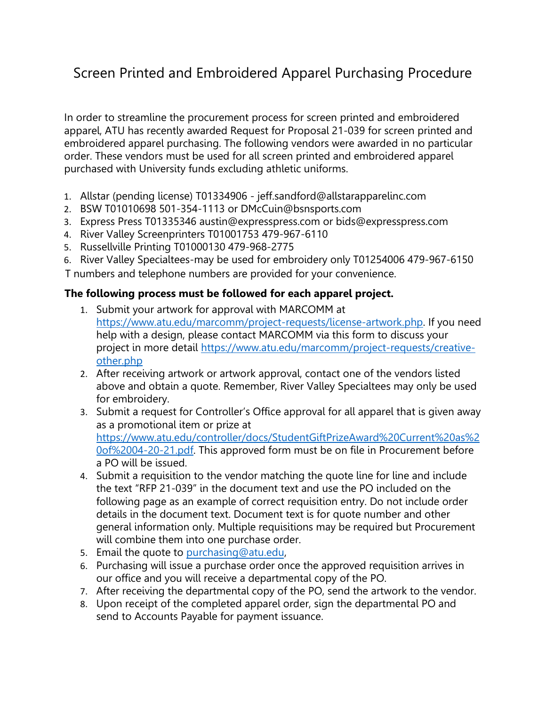## Screen Printed and Embroidered Apparel Purchasing Procedure

In order to streamline the procurement process for screen printed and embroidered apparel, ATU has recently awarded Request for Proposal 21-039 for screen printed and embroidered apparel purchasing. The following vendors were awarded in no particular order. These vendors must be used for all screen printed and embroidered apparel purchased with University funds excluding athletic uniforms.

- 1. Allstar (pending license) T01334906 jeff.sandford@allstarapparelinc.com
- 2. BSW T01010698 501-354-1113 or DMcCuin@bsnsports.com
- 3. Express Press T01335346 austin@expresspress.com or bids@expresspress.com
- 4. River Valley Screenprinters T01001753 479-967-6110
- 5. Russellville Printing T01000130 479-968-2775
- 6. River Valley Specialtees-may be used for embroidery only T01254006 479-967-6150

T numbers and telephone numbers are provided for your convenience.

## **The following process must be followed for each apparel project.**

- 1. Submit your artwork for approval with MARCOMM at https://www.atu.edu/marcomm/project-requests/license-artwork.php. If you need help with a design, please contact MARCOMM via this form to discuss your project in more detail https://www.atu.edu/marcomm/project-requests/creativeother.php
- 2. After receiving artwork or artwork approval, contact one of the vendors listed above and obtain a quote. Remember, River Valley Specialtees may only be used for embroidery.
- 3. Submit a request for Controller's Office approval for all apparel that is given away as a promotional item or prize at https://www.atu.edu/controller/docs/StudentGiftPrizeAward%20Current%20as%2 0of%2004-20-21.pdf. This approved form must be on file in Procurement before a PO will be issued.
- 4. Submit a requisition to the vendor matching the quote line for line and include the text "RFP 21-039" in the document text and use the PO included on the following page as an example of correct requisition entry. Do not include order details in the document text. Document text is for quote number and other general information only. Multiple requisitions may be required but Procurement will combine them into one purchase order.
- 5. Email the quote to purchasing@atu.edu,
- 6. Purchasing will issue a purchase order once the approved requisition arrives in our office and you will receive a departmental copy of the PO.
- 7. After receiving the departmental copy of the PO, send the artwork to the vendor.
- 8. Upon receipt of the completed apparel order, sign the departmental PO and send to Accounts Payable for payment issuance.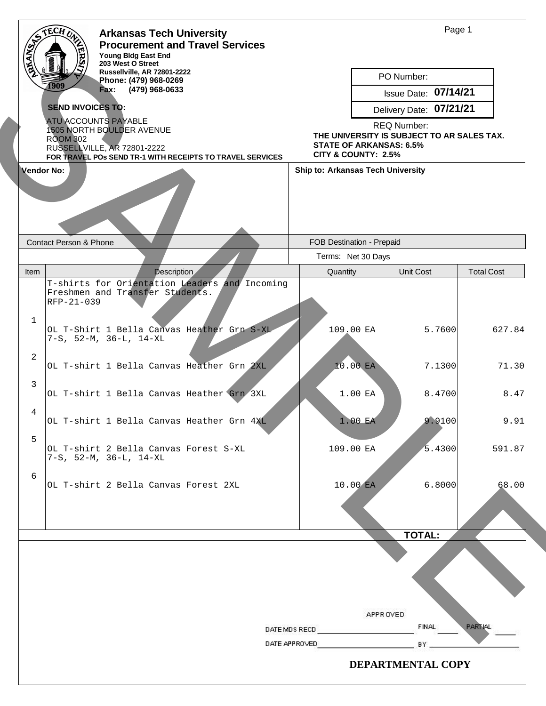|                     | <b>Arkansas Tech University</b><br><b>Procurement and Travel Services</b>                                                                                               |                                                                                                                           |                                          | Page 1               |                   |  |
|---------------------|-------------------------------------------------------------------------------------------------------------------------------------------------------------------------|---------------------------------------------------------------------------------------------------------------------------|------------------------------------------|----------------------|-------------------|--|
|                     | Young Bldg East End<br>203 West O Street<br>Russellville, AR 72801-2222<br>Phone: (479) 968-0269<br>1909<br>(479) 968-0633<br>Fax:                                      |                                                                                                                           | PO Number:                               | Issue Date: 07/14/21 |                   |  |
|                     | <b>SEND INVOICES TO:</b>                                                                                                                                                |                                                                                                                           | Delivery Date: 07/21/21                  |                      |                   |  |
|                     | <b>ATU ACCOUNTS PAYABLE</b><br>1505 NORTH BOULDER AVENUE<br><b>ROOM 302</b><br>RUSSELLVILLE, AR 72801-2222<br>FOR TRAVEL POS SEND TR-1 WITH RECEIPTS TO TRAVEL SERVICES | <b>REQ Number:</b><br>THE UNIVERSITY IS SUBJECT TO AR SALES TAX.<br><b>STATE OF ARKANSAS: 6.5%</b><br>CITY & COUNTY: 2.5% |                                          |                      |                   |  |
|                     | Vendor No:                                                                                                                                                              |                                                                                                                           | <b>Ship to: Arkansas Tech University</b> |                      |                   |  |
|                     | <b>Contact Person &amp; Phone</b>                                                                                                                                       | FOB Destination - Prepaid                                                                                                 |                                          |                      |                   |  |
|                     |                                                                                                                                                                         |                                                                                                                           | Terms: Net 30 Days                       |                      |                   |  |
| Item                | <b>Description</b><br>T-shirts for Orientation Leaders and Incoming<br>Freshmen and Transfer Students.<br>RFP-21-039                                                    | Quantity                                                                                                                  | Unit Cost                                |                      | <b>Total Cost</b> |  |
| $\mathbf 1$         | OL T-Shirt 1 Bella Canvas Heather Grn S-XL<br>$7-S$ , $52-M$ , $36-L$ , $14-XL$                                                                                         |                                                                                                                           | 109.00 EA                                | 5.7600               | 627.84            |  |
| $\overline{2}$<br>3 | OL T-shirt 1 Bella Canvas Heather Grn 2XL                                                                                                                               |                                                                                                                           | 10.00 EA                                 | 7.1300               | 71.30             |  |
| $\overline{4}$      | OL T-shirt 1 Bella Canvas Heather Grn 3XL                                                                                                                               |                                                                                                                           | 1.00 EA                                  | 8.4700               | 8.47              |  |
|                     | OL T-shirt 1 Bella Canvas Heather Grn 4XL                                                                                                                               |                                                                                                                           | 1.00 EA                                  | 9.9100               | 9.91              |  |
| 5                   | OL T-shirt 2 Bella Canvas Forest S-XL<br>$7-S$ , $52-M$ , $36-L$ , $14-XL$                                                                                              |                                                                                                                           | 109.00 EA                                | 5.4300               | 591.87            |  |
| 6                   | OL T-shirt 2 Bella Canvas Forest 2XL                                                                                                                                    |                                                                                                                           | 10.00 EA                                 | 6.8000               | 68.00             |  |
|                     |                                                                                                                                                                         |                                                                                                                           |                                          | <b>TOTAL:</b>        |                   |  |
|                     |                                                                                                                                                                         |                                                                                                                           | APPR OVED                                | <b>FINAL</b>         | PARTIAL           |  |
|                     |                                                                                                                                                                         | DATE MDS RECD<br>DATE APPROVED<br>BY.                                                                                     |                                          |                      |                   |  |
|                     |                                                                                                                                                                         |                                                                                                                           | DEPARTMENTAL COPY                        |                      |                   |  |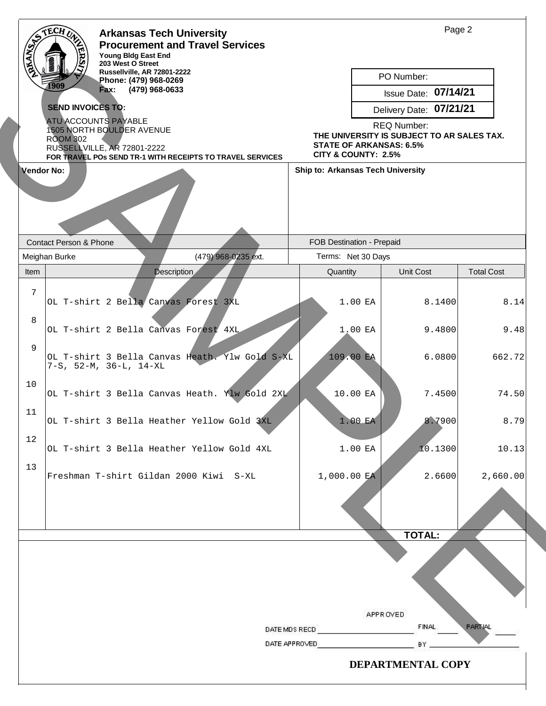|                                                                                          | <b>Arkansas Tech University</b>              |                            | Page 2                                         |                                          |                                                                  |               |                   |  |  |
|------------------------------------------------------------------------------------------|----------------------------------------------|----------------------------|------------------------------------------------|------------------------------------------|------------------------------------------------------------------|---------------|-------------------|--|--|
| <b>PALAMBY</b>                                                                           |                                              | <b>Young Bldg East End</b> | <b>Procurement and Travel Services</b>         |                                          |                                                                  |               |                   |  |  |
| 203 West O Street<br>Russellville, AR 72801-2222                                         |                                              |                            |                                                |                                          | PO Number:                                                       |               |                   |  |  |
| Phone: (479) 968-0269<br>1909<br>Fax: (479) 968-0633<br><b>SEND INVOICES TO:</b>         |                                              |                            |                                                |                                          | Issue Date: 07/14/21                                             |               |                   |  |  |
|                                                                                          |                                              |                            |                                                |                                          |                                                                  |               |                   |  |  |
|                                                                                          | <b>ATU ACCOUNTS PAYABLE</b>                  |                            |                                                |                                          | Delivery Date: 07/21/21                                          |               |                   |  |  |
|                                                                                          | 1505 NORTH BOULDER AVENUE<br><b>ROOM 302</b> |                            |                                                |                                          | <b>REQ Number:</b><br>THE UNIVERSITY IS SUBJECT TO AR SALES TAX. |               |                   |  |  |
| RUSSELLVILLE, AR 72801-2222<br>FOR TRAVEL POS SEND TR-1 WITH RECEIPTS TO TRAVEL SERVICES |                                              |                            |                                                |                                          | <b>STATE OF ARKANSAS: 6.5%</b><br>CITY & COUNTY: 2.5%            |               |                   |  |  |
|                                                                                          | Vendor No:                                   |                            |                                                | <b>Ship to: Arkansas Tech University</b> |                                                                  |               |                   |  |  |
|                                                                                          | <b>Contact Person &amp; Phone</b>            |                            |                                                |                                          | FOB Destination - Prepaid                                        |               |                   |  |  |
|                                                                                          | Meighan Burke                                |                            | (479) 968-0235 ext.                            |                                          | Terms: Net 30 Days                                               |               |                   |  |  |
| Item                                                                                     |                                              | <b>Description</b>         |                                                | Quantity                                 |                                                                  | Unit Cost     | <b>Total Cost</b> |  |  |
| 7                                                                                        | OL T-shirt 2 Bella Canvas Forest 3XL         |                            |                                                |                                          | 1.00 EA                                                          | 8.1400        | 8.14              |  |  |
| 8                                                                                        | OL T-shirt 2 Bella Canvas Forest 4XL         |                            |                                                |                                          | 1.00 EA                                                          | 9.4800        | 9.48              |  |  |
| 9                                                                                        | $7-S$ , $52-M$ , $36-L$ , $14-XL$            |                            | OL T-shirt 3 Bella Canvas Heath. Ylw Gold S-XL |                                          | 109.00 EA                                                        | 6.0800        | 662.72            |  |  |
| 10                                                                                       |                                              |                            | OL T-shirt 3 Bella Canvas Heath. Ylw Gold 2XL  |                                          | 10.00 EA                                                         | 7.4500        | 74.50             |  |  |
| 11                                                                                       |                                              |                            | OL T-shirt 3 Bella Heather Yellow Gold 3XL     |                                          | 1.00 EA                                                          | 8.7900        | 8.79              |  |  |
| 12                                                                                       |                                              |                            | OL T-shirt 3 Bella Heather Yellow Gold 4XL     |                                          | 1.00 EA                                                          | 10.1300       | 10.13             |  |  |
| 13                                                                                       |                                              |                            | Freshman T-shirt Gildan 2000 Kiwi S-XL         | 1,000.00 EA                              |                                                                  | 2.6600        | 2,660.00          |  |  |
|                                                                                          |                                              |                            |                                                |                                          |                                                                  | <b>TOTAL:</b> |                   |  |  |
|                                                                                          |                                              |                            |                                                | DATE MDS RECD                            | APPR OVED                                                        | <b>FINAL</b>  | <b>PARTIAL</b>    |  |  |
|                                                                                          |                                              |                            |                                                | DATE APPROVED                            |                                                                  | BY.           |                   |  |  |
|                                                                                          |                                              |                            |                                                |                                          |                                                                  |               |                   |  |  |